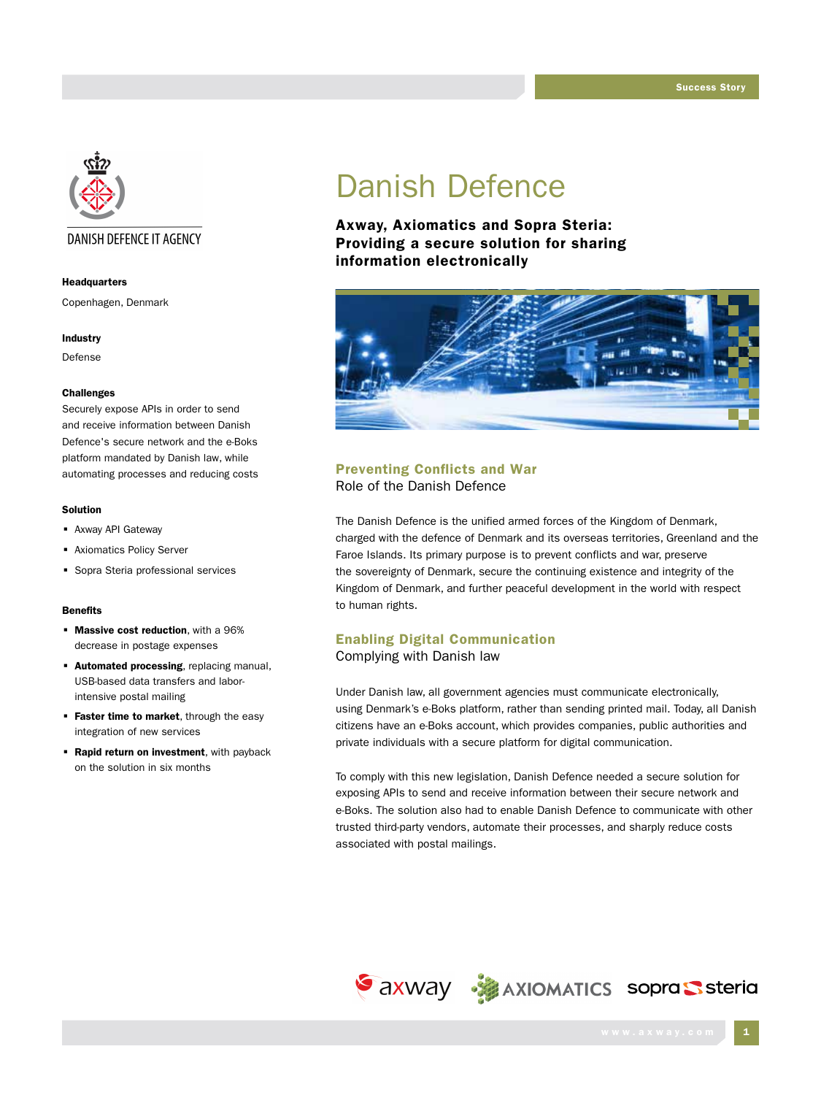

# DANISH DEFENCE IT AGENCY

#### Headquarters

Copenhagen, Denmark

#### Industry

Defense

#### Challenges

Securely expose APIs in order to send and receive information between Danish Defence's secure network and the e-Boks platform mandated by Danish law, while automating processes and reducing costs

#### Solution

- Axway API Gateway
- Axiomatics Policy Server
- **Sopra Steria professional services**

#### **Benefits**

- **Massive cost reduction**, with a 96% decrease in postage expenses
- **Automated processing**, replacing manual, USB-based data transfers and laborintensive postal mailing
- **Faster time to market**, through the easy integration of new services
- **Rapid return on investment**, with payback on the solution in six months

# Danish Defence

Axway, Axiomatics and Sopra Steria: Providing a secure solution for sharing information electronically



## Preventing Conflicts and War Role of the Danish Defence

The Danish Defence is the unified armed forces of the Kingdom of Denmark, charged with the defence of Denmark and its overseas territories, Greenland and the Faroe Islands. Its primary purpose is to prevent conflicts and war, preserve the sovereignty of Denmark, secure the continuing existence and integrity of the Kingdom of Denmark, and further peaceful development in the world with respect to human rights.

# Enabling Digital Communication Complying with Danish law

Under Danish law, all government agencies must communicate electronically, using Denmark's e-Boks platform, rather than sending printed mail. Today, all Danish citizens have an e-Boks account, which provides companies, public authorities and private individuals with a secure platform for digital communication.

To comply with this new legislation, Danish Defence needed a secure solution for exposing APIs to send and receive information between their secure network and e-Boks. The solution also had to enable Danish Defence to communicate with other trusted third-party vendors, automate their processes, and sharply reduce costs associated with postal mailings.

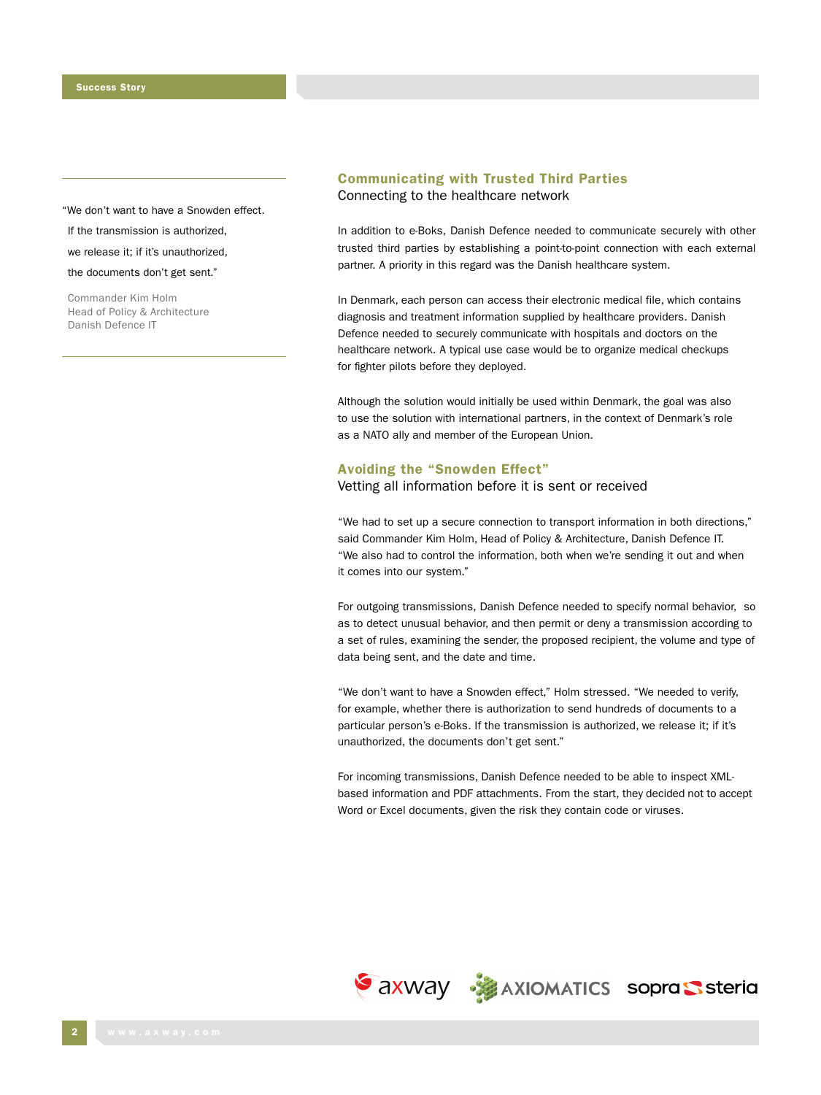"We don't want to have a Snowden effect.

If the transmission is authorized,

we release it; if it's unauthorized,

the documents don't get sent."

Commander Kim Holm Head of Policy & Architecture Danish Defence IT

# Communicating with Trusted Third Parties Connecting to the healthcare network

In addition to e-Boks, Danish Defence needed to communicate securely with other trusted third parties by establishing a point-to-point connection with each external partner. A priority in this regard was the Danish healthcare system.

In Denmark, each person can access their electronic medical file, which contains diagnosis and treatment information supplied by healthcare providers. Danish Defence needed to securely communicate with hospitals and doctors on the healthcare network. A typical use case would be to organize medical checkups for fighter pilots before they deployed.

Although the solution would initially be used within Denmark, the goal was also to use the solution with international partners, in the context of Denmark's role as a NATO ally and member of the European Union.

#### Avoiding the "Snowden Effect"

Vetting all information before it is sent or received

"We had to set up a secure connection to transport information in both directions," said Commander Kim Holm, Head of Policy & Architecture, Danish Defence IT. "We also had to control the information, both when we're sending it out and when it comes into our system."

For outgoing transmissions, Danish Defence needed to specify normal behavior, so as to detect unusual behavior, and then permit or deny a transmission according to a set of rules, examining the sender, the proposed recipient, the volume and type of data being sent, and the date and time.

"We don't want to have a Snowden effect," Holm stressed. "We needed to verify, for example, whether there is authorization to send hundreds of documents to a particular person's e-Boks. If the transmission is authorized, we release it; if it's unauthorized, the documents don't get sent."

For incoming transmissions, Danish Defence needed to be able to inspect XMLbased information and PDF attachments. From the start, they decided not to accept Word or Excel documents, given the risk they contain code or viruses.

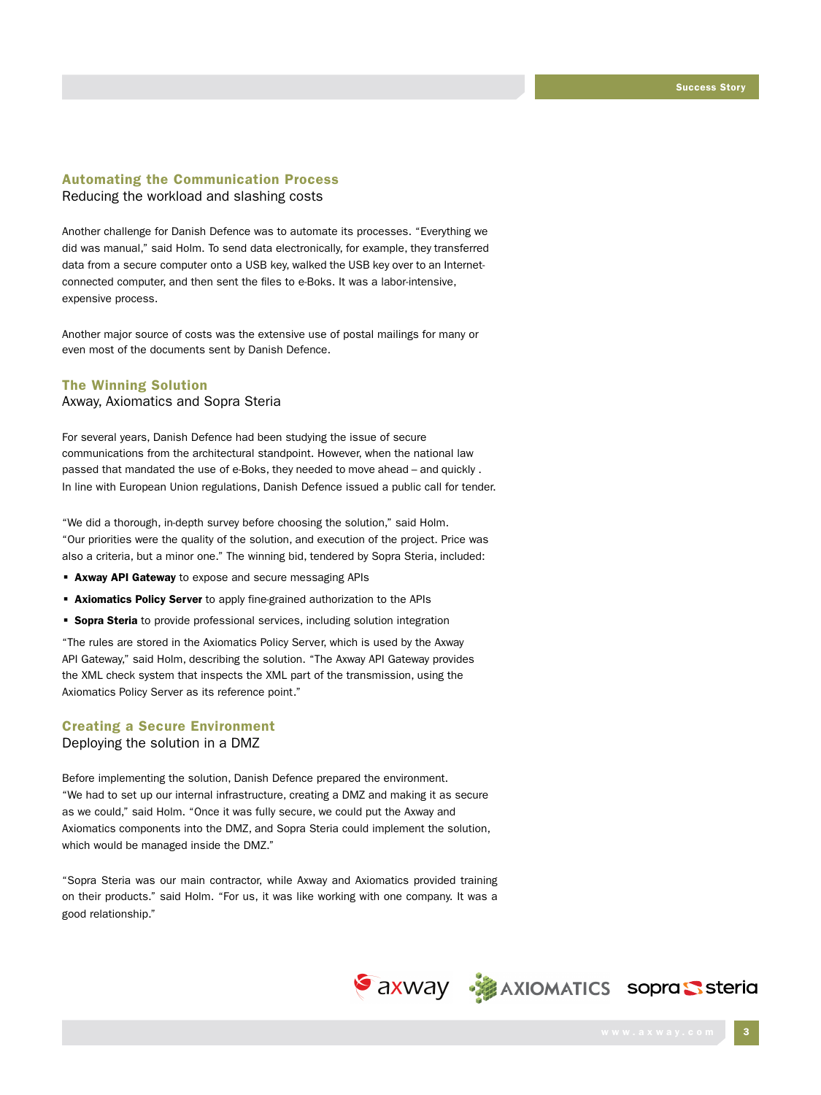## Automating the Communication Process Reducing the workload and slashing costs

Another challenge for Danish Defence was to automate its processes. "Everything we did was manual," said Holm. To send data electronically, for example, they transferred data from a secure computer onto a USB key, walked the USB key over to an Internetconnected computer, and then sent the files to e-Boks. It was a labor-intensive, expensive process.

Another major source of costs was the extensive use of postal mailings for many or even most of the documents sent by Danish Defence.

### The Winning Solution

Axway, Axiomatics and Sopra Steria

For several years, Danish Defence had been studying the issue of secure communications from the architectural standpoint. However, when the national law passed that mandated the use of e-Boks, they needed to move ahead – and quickly . In line with European Union regulations, Danish Defence issued a public call for tender.

"We did a thorough, in-depth survey before choosing the solution," said Holm. "Our priorities were the quality of the solution, and execution of the project. Price was also a criteria, but a minor one." The winning bid, tendered by Sopra Steria, included:

- **Axway API Gateway** to expose and secure messaging APIs
- **Axiomatics Policy Server** to apply fine-grained authorization to the APIs
- **Sopra Steria** to provide professional services, including solution integration

"The rules are stored in the Axiomatics Policy Server, which is used by the Axway API Gateway," said Holm, describing the solution. "The Axway API Gateway provides the XML check system that inspects the XML part of the transmission, using the Axiomatics Policy Server as its reference point."

# Creating a Secure Environment

Deploying the solution in a DMZ

Before implementing the solution, Danish Defence prepared the environment. "We had to set up our internal infrastructure, creating a DMZ and making it as secure as we could," said Holm. "Once it was fully secure, we could put the Axway and Axiomatics components into the DMZ, and Sopra Steria could implement the solution, which would be managed inside the DMZ."

"Sopra Steria was our main contractor, while Axway and Axiomatics provided training on their products." said Holm. "For us, it was like working with one company. It was a good relationship."

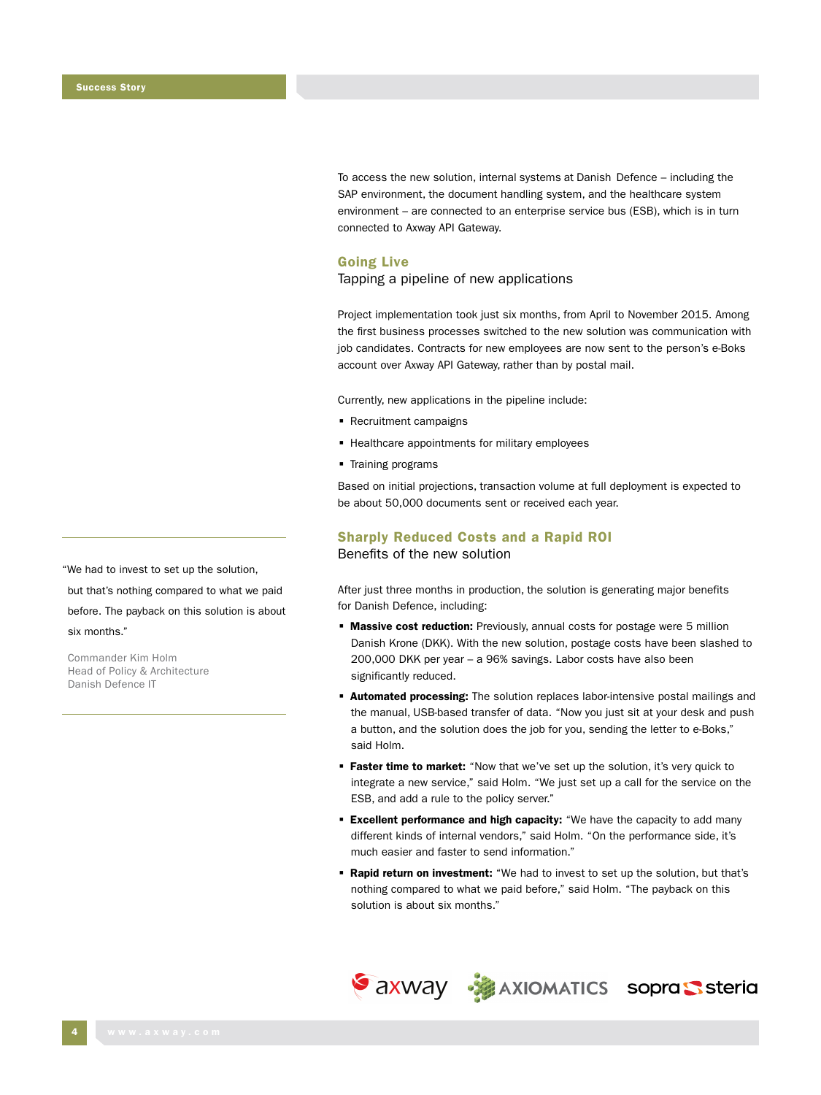To access the new solution, internal systems at Danish Defence – including the SAP environment, the document handling system, and the healthcare system environment – are connected to an enterprise service bus (ESB), which is in turn connected to Axway API Gateway.

## Going Live

## Tapping a pipeline of new applications

Project implementation took just six months, from April to November 2015. Among the first business processes switched to the new solution was communication with job candidates. Contracts for new employees are now sent to the person's e-Boks account over Axway API Gateway, rather than by postal mail.

Currently, new applications in the pipeline include:

- Recruitment campaigns
- **EXTER Healthcare appointments for military employees**
- **Training programs**

Based on initial projections, transaction volume at full deployment is expected to be about 50,000 documents sent or received each year.

## Sharply Reduced Costs and a Rapid ROI Benefits of the new solution

After just three months in production, the solution is generating major benefits for Danish Defence, including:

- **Massive cost reduction:** Previously, annual costs for postage were 5 million Danish Krone (DKK). With the new solution, postage costs have been slashed to 200,000 DKK per year – a 96% savings. Labor costs have also been significantly reduced.
- **Automated processing:** The solution replaces labor-intensive postal mailings and the manual, USB-based transfer of data. "Now you just sit at your desk and push a button, and the solution does the job for you, sending the letter to e-Boks," said Holm.
- **Faster time to market:** "Now that we've set up the solution, it's very quick to integrate a new service," said Holm. "We just set up a call for the service on the ESB, and add a rule to the policy server."
- **Excellent performance and high capacity:** "We have the capacity to add many different kinds of internal vendors," said Holm. "On the performance side, it's much easier and faster to send information."
- **Rapid return on investment:** "We had to invest to set up the solution, but that's nothing compared to what we paid before," said Holm. "The payback on this solution is about six months."



"We had to invest to set up the solution,

but that's nothing compared to what we paid

before. The payback on this solution is about six months."

Commander Kim Holm Head of Policy & Architecture Danish Defence IT